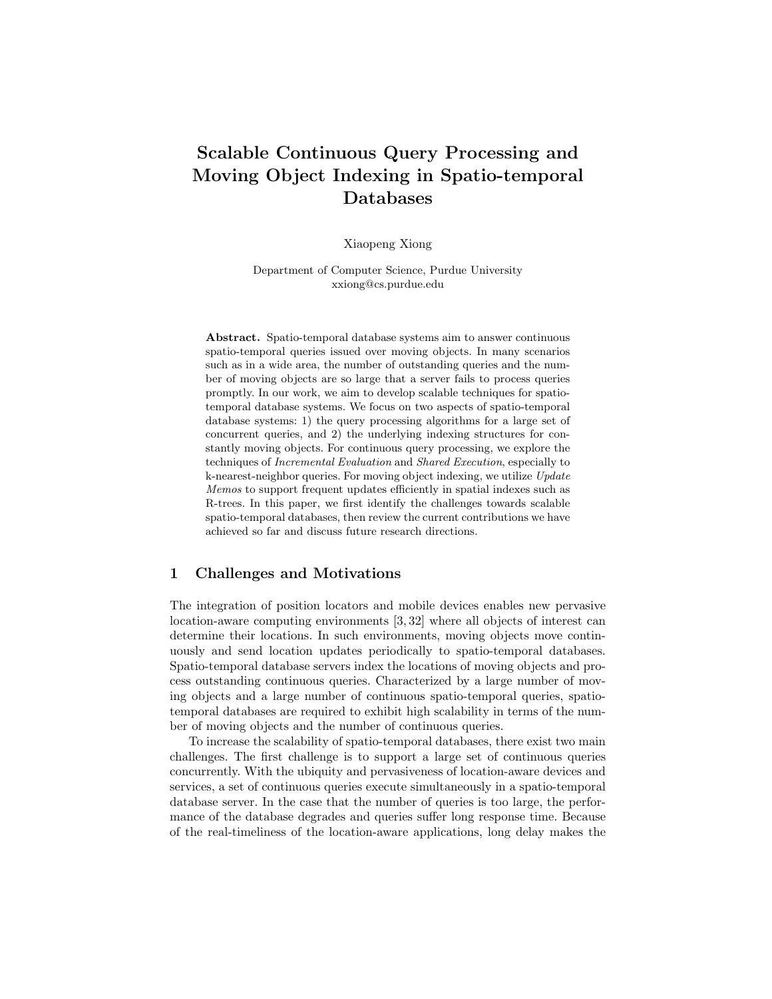# Scalable Continuous Query Processing and Moving Object Indexing in Spatio-temporal Databases

Xiaopeng Xiong

Department of Computer Science, Purdue University xxiong@cs.purdue.edu

Abstract. Spatio-temporal database systems aim to answer continuous spatio-temporal queries issued over moving objects. In many scenarios such as in a wide area, the number of outstanding queries and the number of moving objects are so large that a server fails to process queries promptly. In our work, we aim to develop scalable techniques for spatiotemporal database systems. We focus on two aspects of spatio-temporal database systems: 1) the query processing algorithms for a large set of concurrent queries, and 2) the underlying indexing structures for constantly moving objects. For continuous query processing, we explore the techniques of Incremental Evaluation and Shared Execution, especially to k-nearest-neighbor queries. For moving object indexing, we utilize Update Memos to support frequent updates efficiently in spatial indexes such as R-trees. In this paper, we first identify the challenges towards scalable spatio-temporal databases, then review the current contributions we have achieved so far and discuss future research directions.

# 1 Challenges and Motivations

The integration of position locators and mobile devices enables new pervasive location-aware computing environments [3, 32] where all objects of interest can determine their locations. In such environments, moving objects move continuously and send location updates periodically to spatio-temporal databases. Spatio-temporal database servers index the locations of moving objects and process outstanding continuous queries. Characterized by a large number of moving objects and a large number of continuous spatio-temporal queries, spatiotemporal databases are required to exhibit high scalability in terms of the number of moving objects and the number of continuous queries.

To increase the scalability of spatio-temporal databases, there exist two main challenges. The first challenge is to support a large set of continuous queries concurrently. With the ubiquity and pervasiveness of location-aware devices and services, a set of continuous queries execute simultaneously in a spatio-temporal database server. In the case that the number of queries is too large, the performance of the database degrades and queries suffer long response time. Because of the real-timeliness of the location-aware applications, long delay makes the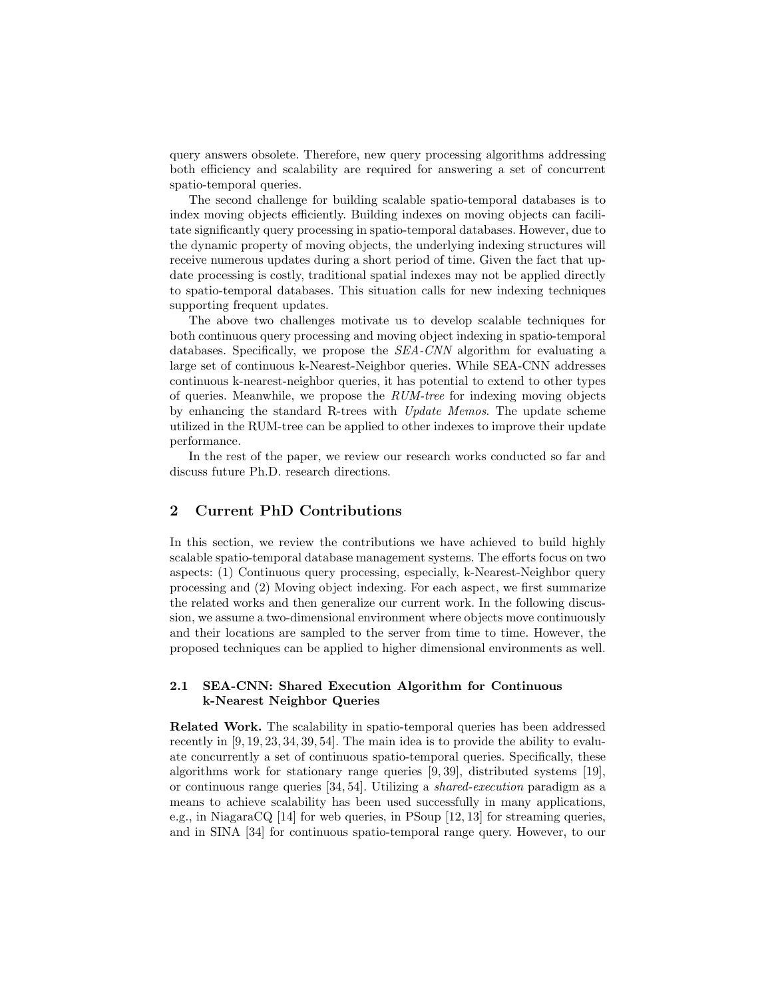query answers obsolete. Therefore, new query processing algorithms addressing both efficiency and scalability are required for answering a set of concurrent spatio-temporal queries.

The second challenge for building scalable spatio-temporal databases is to index moving objects efficiently. Building indexes on moving objects can facilitate significantly query processing in spatio-temporal databases. However, due to the dynamic property of moving objects, the underlying indexing structures will receive numerous updates during a short period of time. Given the fact that update processing is costly, traditional spatial indexes may not be applied directly to spatio-temporal databases. This situation calls for new indexing techniques supporting frequent updates.

The above two challenges motivate us to develop scalable techniques for both continuous query processing and moving object indexing in spatio-temporal databases. Specifically, we propose the SEA-CNN algorithm for evaluating a large set of continuous k-Nearest-Neighbor queries. While SEA-CNN addresses continuous k-nearest-neighbor queries, it has potential to extend to other types of queries. Meanwhile, we propose the RUM-tree for indexing moving objects by enhancing the standard R-trees with Update Memos. The update scheme utilized in the RUM-tree can be applied to other indexes to improve their update performance.

In the rest of the paper, we review our research works conducted so far and discuss future Ph.D. research directions.

# 2 Current PhD Contributions

In this section, we review the contributions we have achieved to build highly scalable spatio-temporal database management systems. The efforts focus on two aspects: (1) Continuous query processing, especially, k-Nearest-Neighbor query processing and (2) Moving object indexing. For each aspect, we first summarize the related works and then generalize our current work. In the following discussion, we assume a two-dimensional environment where objects move continuously and their locations are sampled to the server from time to time. However, the proposed techniques can be applied to higher dimensional environments as well.

### 2.1 SEA-CNN: Shared Execution Algorithm for Continuous k-Nearest Neighbor Queries

Related Work. The scalability in spatio-temporal queries has been addressed recently in [9, 19, 23, 34, 39, 54]. The main idea is to provide the ability to evaluate concurrently a set of continuous spatio-temporal queries. Specifically, these algorithms work for stationary range queries [9, 39], distributed systems [19], or continuous range queries [34, 54]. Utilizing a shared-execution paradigm as a means to achieve scalability has been used successfully in many applications, e.g., in NiagaraCQ [14] for web queries, in PSoup [12, 13] for streaming queries, and in SINA [34] for continuous spatio-temporal range query. However, to our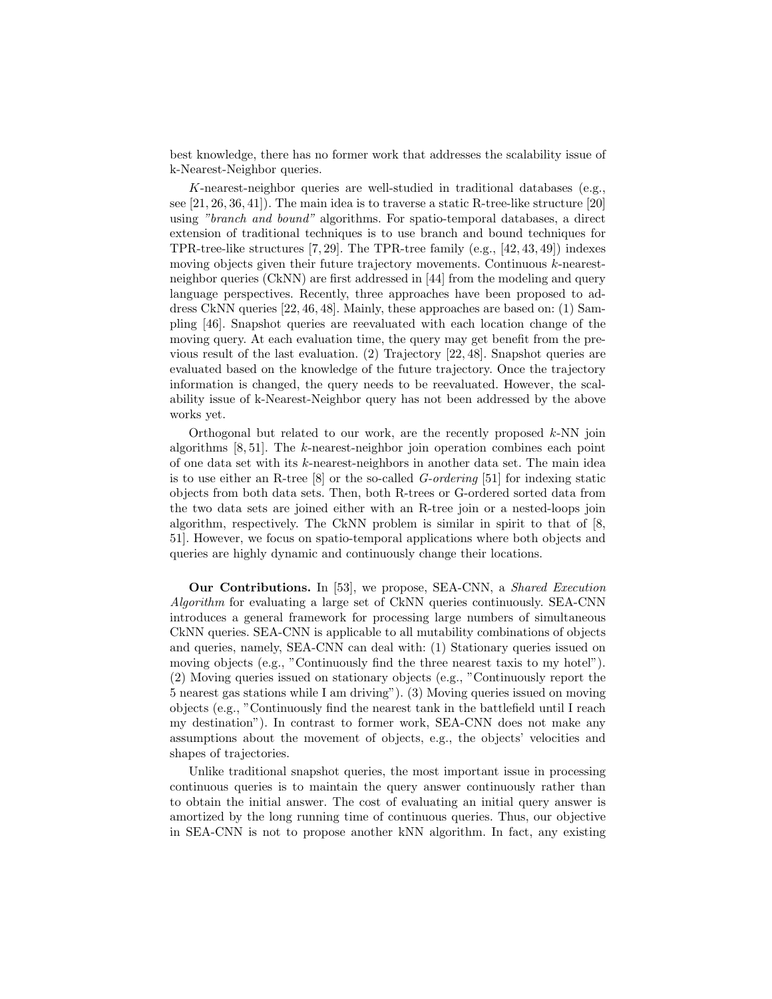best knowledge, there has no former work that addresses the scalability issue of k-Nearest-Neighbor queries.

K-nearest-neighbor queries are well-studied in traditional databases (e.g., see [21, 26, 36, 41]). The main idea is to traverse a static R-tree-like structure [20] using "branch and bound" algorithms. For spatio-temporal databases, a direct extension of traditional techniques is to use branch and bound techniques for TPR-tree-like structures [7, 29]. The TPR-tree family (e.g., [42, 43, 49]) indexes moving objects given their future trajectory movements. Continuous k-nearestneighbor queries (CkNN) are first addressed in [44] from the modeling and query language perspectives. Recently, three approaches have been proposed to address CkNN queries [22, 46, 48]. Mainly, these approaches are based on: (1) Sampling [46]. Snapshot queries are reevaluated with each location change of the moving query. At each evaluation time, the query may get benefit from the previous result of the last evaluation. (2) Trajectory [22, 48]. Snapshot queries are evaluated based on the knowledge of the future trajectory. Once the trajectory information is changed, the query needs to be reevaluated. However, the scalability issue of k-Nearest-Neighbor query has not been addressed by the above works yet.

Orthogonal but related to our work, are the recently proposed  $k$ -NN join algorithms [8, 51]. The k-nearest-neighbor join operation combines each point of one data set with its k-nearest-neighbors in another data set. The main idea is to use either an R-tree [8] or the so-called G-ordering [51] for indexing static objects from both data sets. Then, both R-trees or G-ordered sorted data from the two data sets are joined either with an R-tree join or a nested-loops join algorithm, respectively. The CkNN problem is similar in spirit to that of [8, 51]. However, we focus on spatio-temporal applications where both objects and queries are highly dynamic and continuously change their locations.

Our Contributions. In [53], we propose, SEA-CNN, a Shared Execution Algorithm for evaluating a large set of CkNN queries continuously. SEA-CNN introduces a general framework for processing large numbers of simultaneous CkNN queries. SEA-CNN is applicable to all mutability combinations of objects and queries, namely, SEA-CNN can deal with: (1) Stationary queries issued on moving objects (e.g., "Continuously find the three nearest taxis to my hotel"). (2) Moving queries issued on stationary objects (e.g., "Continuously report the 5 nearest gas stations while I am driving"). (3) Moving queries issued on moving objects (e.g., "Continuously find the nearest tank in the battlefield until I reach my destination"). In contrast to former work, SEA-CNN does not make any assumptions about the movement of objects, e.g., the objects' velocities and shapes of trajectories.

Unlike traditional snapshot queries, the most important issue in processing continuous queries is to maintain the query answer continuously rather than to obtain the initial answer. The cost of evaluating an initial query answer is amortized by the long running time of continuous queries. Thus, our objective in SEA-CNN is not to propose another kNN algorithm. In fact, any existing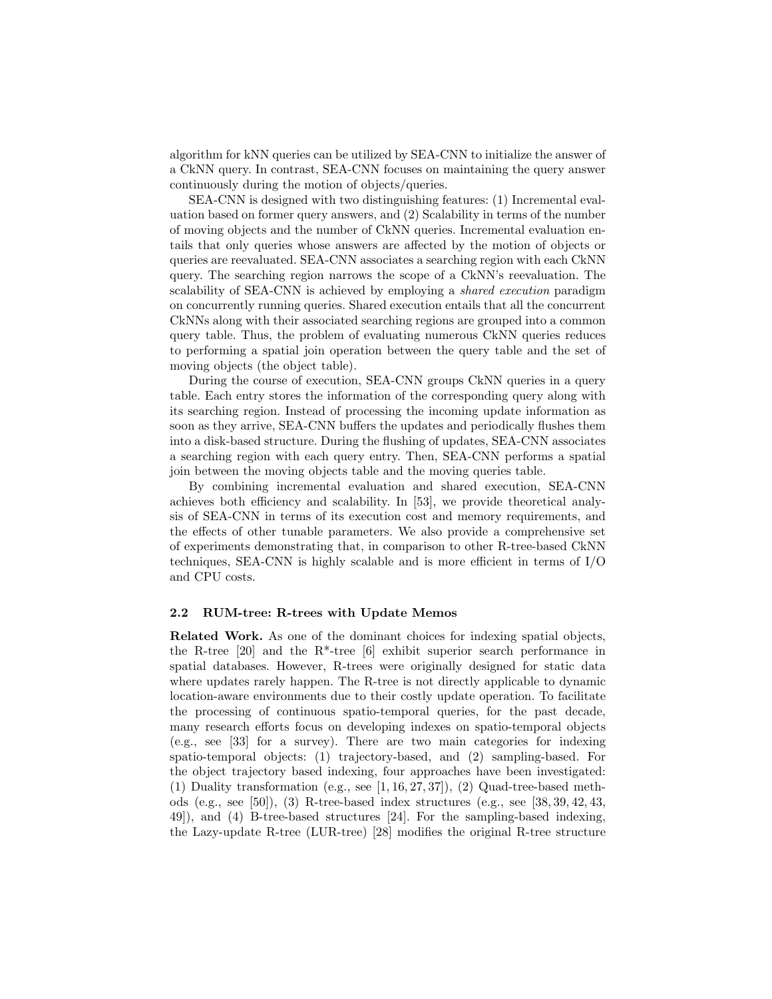algorithm for kNN queries can be utilized by SEA-CNN to initialize the answer of a CkNN query. In contrast, SEA-CNN focuses on maintaining the query answer continuously during the motion of objects/queries.

SEA-CNN is designed with two distinguishing features: (1) Incremental evaluation based on former query answers, and (2) Scalability in terms of the number of moving objects and the number of CkNN queries. Incremental evaluation entails that only queries whose answers are affected by the motion of objects or queries are reevaluated. SEA-CNN associates a searching region with each CkNN query. The searching region narrows the scope of a CkNN's reevaluation. The scalability of SEA-CNN is achieved by employing a *shared execution* paradigm on concurrently running queries. Shared execution entails that all the concurrent CkNNs along with their associated searching regions are grouped into a common query table. Thus, the problem of evaluating numerous CkNN queries reduces to performing a spatial join operation between the query table and the set of moving objects (the object table).

During the course of execution, SEA-CNN groups CkNN queries in a query table. Each entry stores the information of the corresponding query along with its searching region. Instead of processing the incoming update information as soon as they arrive, SEA-CNN buffers the updates and periodically flushes them into a disk-based structure. During the flushing of updates, SEA-CNN associates a searching region with each query entry. Then, SEA-CNN performs a spatial join between the moving objects table and the moving queries table.

By combining incremental evaluation and shared execution, SEA-CNN achieves both efficiency and scalability. In [53], we provide theoretical analysis of SEA-CNN in terms of its execution cost and memory requirements, and the effects of other tunable parameters. We also provide a comprehensive set of experiments demonstrating that, in comparison to other R-tree-based CkNN techniques, SEA-CNN is highly scalable and is more efficient in terms of I/O and CPU costs.

#### 2.2 RUM-tree: R-trees with Update Memos

Related Work. As one of the dominant choices for indexing spatial objects, the R-tree  $[20]$  and the R<sup>\*</sup>-tree  $[6]$  exhibit superior search performance in spatial databases. However, R-trees were originally designed for static data where updates rarely happen. The R-tree is not directly applicable to dynamic location-aware environments due to their costly update operation. To facilitate the processing of continuous spatio-temporal queries, for the past decade, many research efforts focus on developing indexes on spatio-temporal objects (e.g., see [33] for a survey). There are two main categories for indexing spatio-temporal objects: (1) trajectory-based, and (2) sampling-based. For the object trajectory based indexing, four approaches have been investigated: (1) Duality transformation (e.g., see [1, 16, 27, 37]), (2) Quad-tree-based methods (e.g., see [50]), (3) R-tree-based index structures (e.g., see [38, 39, 42, 43, 49]), and (4) B-tree-based structures [24]. For the sampling-based indexing, the Lazy-update R-tree (LUR-tree) [28] modifies the original R-tree structure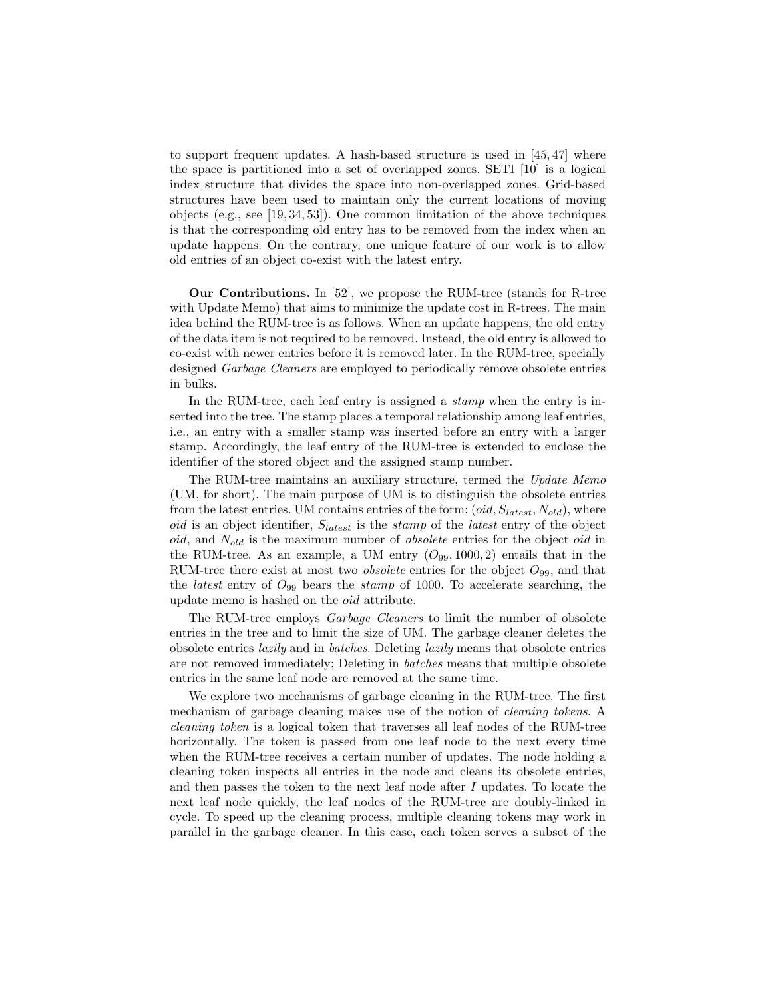to support frequent updates. A hash-based structure is used in [45, 47] where the space is partitioned into a set of overlapped zones. SETI [10] is a logical index structure that divides the space into non-overlapped zones. Grid-based structures have been used to maintain only the current locations of moving objects (e.g., see [19, 34, 53]). One common limitation of the above techniques is that the corresponding old entry has to be removed from the index when an update happens. On the contrary, one unique feature of our work is to allow old entries of an object co-exist with the latest entry.

Our Contributions. In [52], we propose the RUM-tree (stands for R-tree with Update Memo) that aims to minimize the update cost in R-trees. The main idea behind the RUM-tree is as follows. When an update happens, the old entry of the data item is not required to be removed. Instead, the old entry is allowed to co-exist with newer entries before it is removed later. In the RUM-tree, specially designed *Garbage Cleaners* are employed to periodically remove obsolete entries in bulks.

In the RUM-tree, each leaf entry is assigned a *stamp* when the entry is inserted into the tree. The stamp places a temporal relationship among leaf entries, i.e., an entry with a smaller stamp was inserted before an entry with a larger stamp. Accordingly, the leaf entry of the RUM-tree is extended to enclose the identifier of the stored object and the assigned stamp number.

The RUM-tree maintains an auxiliary structure, termed the Update Memo (UM, for short). The main purpose of UM is to distinguish the obsolete entries from the latest entries. UM contains entries of the form:  $(\text{oid}, S_{\text{latest}}, N_{\text{old}})$ , where oid is an object identifier,  $S_{latest}$  is the stamp of the latest entry of the object oid, and  $N_{old}$  is the maximum number of *obsolete* entries for the object oid in the RUM-tree. As an example, a UM entry  $(O_{99}, 1000, 2)$  entails that in the RUM-tree there exist at most two *obsolete* entries for the object  $O_{99}$ , and that the *latest* entry of  $O_{99}$  bears the *stamp* of 1000. To accelerate searching, the update memo is hashed on the oid attribute.

The RUM-tree employs Garbage Cleaners to limit the number of obsolete entries in the tree and to limit the size of UM. The garbage cleaner deletes the obsolete entries lazily and in batches. Deleting lazily means that obsolete entries are not removed immediately; Deleting in batches means that multiple obsolete entries in the same leaf node are removed at the same time.

We explore two mechanisms of garbage cleaning in the RUM-tree. The first mechanism of garbage cleaning makes use of the notion of cleaning tokens. A cleaning token is a logical token that traverses all leaf nodes of the RUM-tree horizontally. The token is passed from one leaf node to the next every time when the RUM-tree receives a certain number of updates. The node holding a cleaning token inspects all entries in the node and cleans its obsolete entries, and then passes the token to the next leaf node after I updates. To locate the next leaf node quickly, the leaf nodes of the RUM-tree are doubly-linked in cycle. To speed up the cleaning process, multiple cleaning tokens may work in parallel in the garbage cleaner. In this case, each token serves a subset of the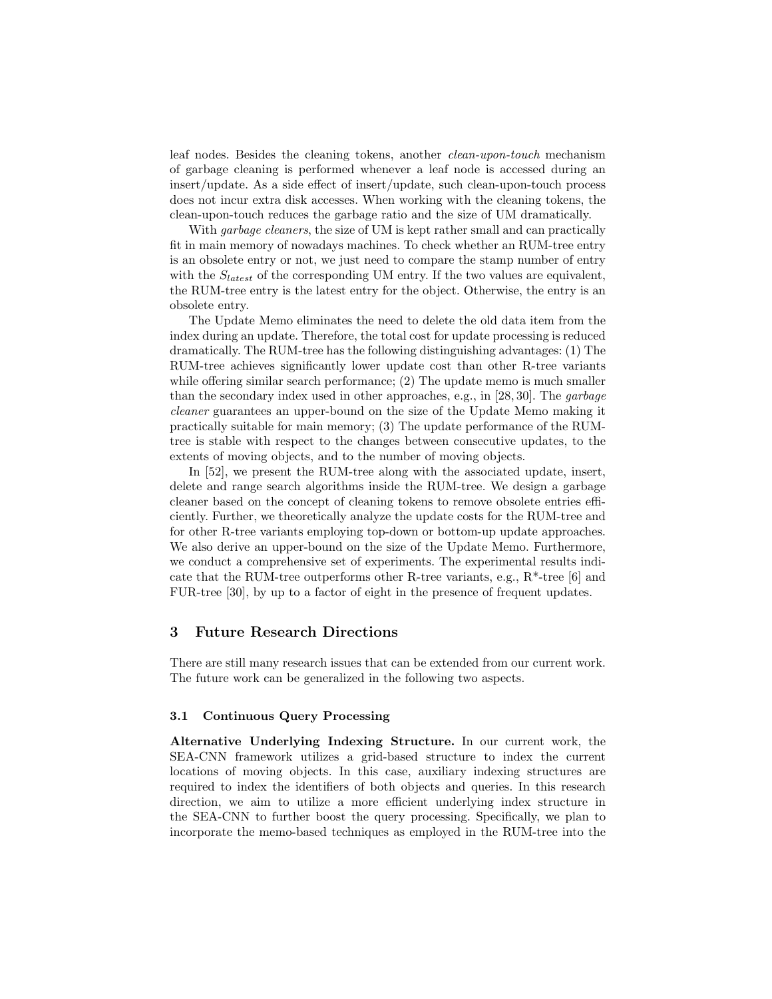leaf nodes. Besides the cleaning tokens, another clean-upon-touch mechanism of garbage cleaning is performed whenever a leaf node is accessed during an insert/update. As a side effect of insert/update, such clean-upon-touch process does not incur extra disk accesses. When working with the cleaning tokens, the clean-upon-touch reduces the garbage ratio and the size of UM dramatically.

With *garbage cleaners*, the size of UM is kept rather small and can practically fit in main memory of nowadays machines. To check whether an RUM-tree entry is an obsolete entry or not, we just need to compare the stamp number of entry with the  $S_{latest}$  of the corresponding UM entry. If the two values are equivalent, the RUM-tree entry is the latest entry for the object. Otherwise, the entry is an obsolete entry.

The Update Memo eliminates the need to delete the old data item from the index during an update. Therefore, the total cost for update processing is reduced dramatically. The RUM-tree has the following distinguishing advantages: (1) The RUM-tree achieves significantly lower update cost than other R-tree variants while offering similar search performance; (2) The update memo is much smaller than the secondary index used in other approaches, e.g., in [28, 30]. The *qarbage* cleaner guarantees an upper-bound on the size of the Update Memo making it practically suitable for main memory; (3) The update performance of the RUMtree is stable with respect to the changes between consecutive updates, to the extents of moving objects, and to the number of moving objects.

In [52], we present the RUM-tree along with the associated update, insert, delete and range search algorithms inside the RUM-tree. We design a garbage cleaner based on the concept of cleaning tokens to remove obsolete entries efficiently. Further, we theoretically analyze the update costs for the RUM-tree and for other R-tree variants employing top-down or bottom-up update approaches. We also derive an upper-bound on the size of the Update Memo. Furthermore, we conduct a comprehensive set of experiments. The experimental results indicate that the RUM-tree outperforms other R-tree variants, e.g.,  $R^*$ -tree [6] and FUR-tree [30], by up to a factor of eight in the presence of frequent updates.

# 3 Future Research Directions

There are still many research issues that can be extended from our current work. The future work can be generalized in the following two aspects.

#### 3.1 Continuous Query Processing

Alternative Underlying Indexing Structure. In our current work, the SEA-CNN framework utilizes a grid-based structure to index the current locations of moving objects. In this case, auxiliary indexing structures are required to index the identifiers of both objects and queries. In this research direction, we aim to utilize a more efficient underlying index structure in the SEA-CNN to further boost the query processing. Specifically, we plan to incorporate the memo-based techniques as employed in the RUM-tree into the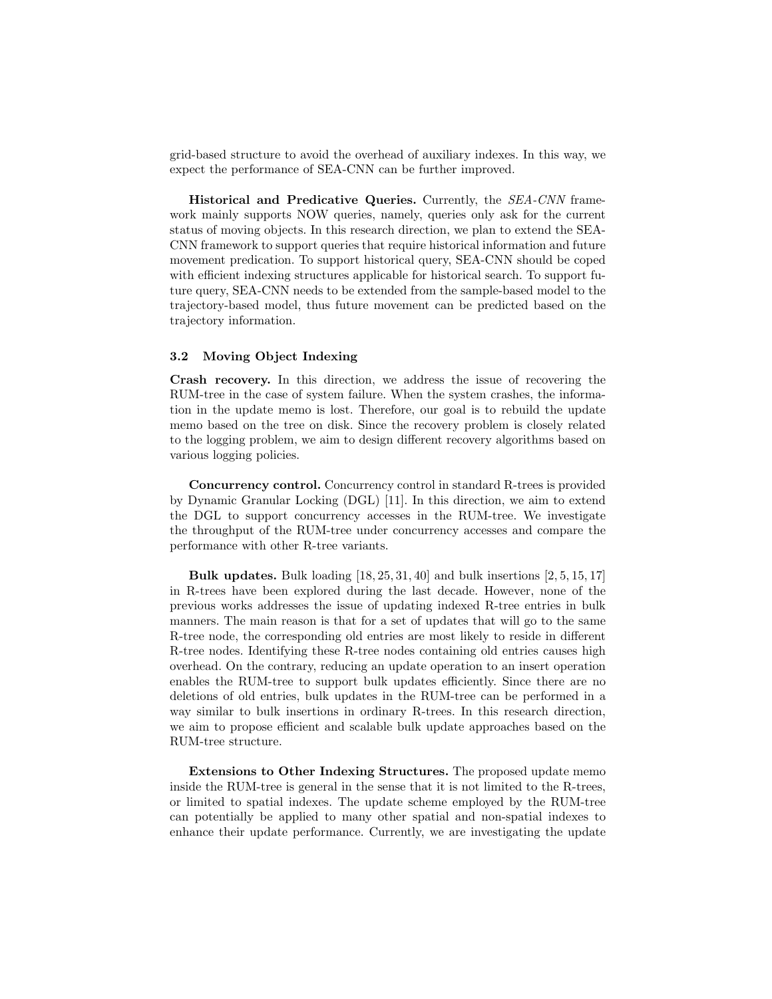grid-based structure to avoid the overhead of auxiliary indexes. In this way, we expect the performance of SEA-CNN can be further improved.

Historical and Predicative Queries. Currently, the SEA-CNN framework mainly supports NOW queries, namely, queries only ask for the current status of moving objects. In this research direction, we plan to extend the SEA-CNN framework to support queries that require historical information and future movement predication. To support historical query, SEA-CNN should be coped with efficient indexing structures applicable for historical search. To support future query, SEA-CNN needs to be extended from the sample-based model to the trajectory-based model, thus future movement can be predicted based on the trajectory information.

#### 3.2 Moving Object Indexing

Crash recovery. In this direction, we address the issue of recovering the RUM-tree in the case of system failure. When the system crashes, the information in the update memo is lost. Therefore, our goal is to rebuild the update memo based on the tree on disk. Since the recovery problem is closely related to the logging problem, we aim to design different recovery algorithms based on various logging policies.

Concurrency control. Concurrency control in standard R-trees is provided by Dynamic Granular Locking (DGL) [11]. In this direction, we aim to extend the DGL to support concurrency accesses in the RUM-tree. We investigate the throughput of the RUM-tree under concurrency accesses and compare the performance with other R-tree variants.

**Bulk updates.** Bulk loading  $[18, 25, 31, 40]$  and bulk insertions  $[2, 5, 15, 17]$ in R-trees have been explored during the last decade. However, none of the previous works addresses the issue of updating indexed R-tree entries in bulk manners. The main reason is that for a set of updates that will go to the same R-tree node, the corresponding old entries are most likely to reside in different R-tree nodes. Identifying these R-tree nodes containing old entries causes high overhead. On the contrary, reducing an update operation to an insert operation enables the RUM-tree to support bulk updates efficiently. Since there are no deletions of old entries, bulk updates in the RUM-tree can be performed in a way similar to bulk insertions in ordinary R-trees. In this research direction, we aim to propose efficient and scalable bulk update approaches based on the RUM-tree structure.

Extensions to Other Indexing Structures. The proposed update memo inside the RUM-tree is general in the sense that it is not limited to the R-trees, or limited to spatial indexes. The update scheme employed by the RUM-tree can potentially be applied to many other spatial and non-spatial indexes to enhance their update performance. Currently, we are investigating the update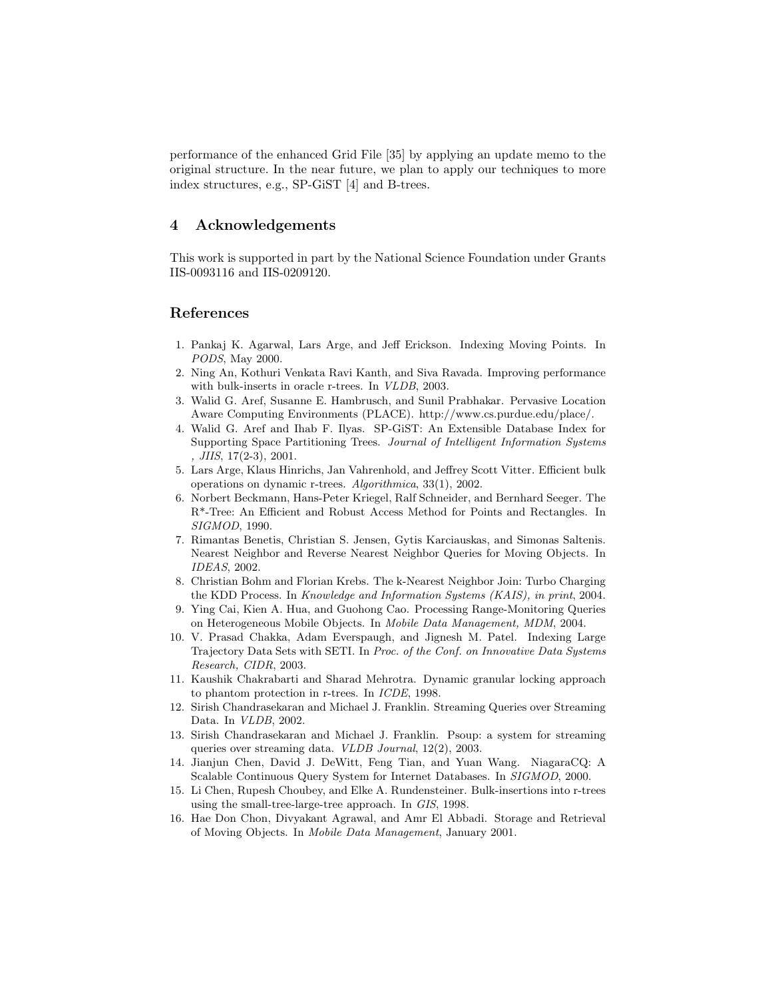performance of the enhanced Grid File [35] by applying an update memo to the original structure. In the near future, we plan to apply our techniques to more index structures, e.g., SP-GiST [4] and B-trees.

### 4 Acknowledgements

This work is supported in part by the National Science Foundation under Grants IIS-0093116 and IIS-0209120.

# References

- 1. Pankaj K. Agarwal, Lars Arge, and Jeff Erickson. Indexing Moving Points. In PODS, May 2000.
- 2. Ning An, Kothuri Venkata Ravi Kanth, and Siva Ravada. Improving performance with bulk-inserts in oracle r-trees. In VLDB, 2003.
- 3. Walid G. Aref, Susanne E. Hambrusch, and Sunil Prabhakar. Pervasive Location Aware Computing Environments (PLACE). http://www.cs.purdue.edu/place/.
- 4. Walid G. Aref and Ihab F. Ilyas. SP-GiST: An Extensible Database Index for Supporting Space Partitioning Trees. Journal of Intelligent Information Systems  $J\text{IIS}, 17(2-3), 2001.$
- 5. Lars Arge, Klaus Hinrichs, Jan Vahrenhold, and Jeffrey Scott Vitter. Efficient bulk operations on dynamic r-trees. Algorithmica, 33(1), 2002.
- 6. Norbert Beckmann, Hans-Peter Kriegel, Ralf Schneider, and Bernhard Seeger. The R\*-Tree: An Efficient and Robust Access Method for Points and Rectangles. In SIGMOD, 1990.
- 7. Rimantas Benetis, Christian S. Jensen, Gytis Karciauskas, and Simonas Saltenis. Nearest Neighbor and Reverse Nearest Neighbor Queries for Moving Objects. In IDEAS, 2002.
- 8. Christian Bohm and Florian Krebs. The k-Nearest Neighbor Join: Turbo Charging the KDD Process. In Knowledge and Information Systems (KAIS), in print, 2004.
- 9. Ying Cai, Kien A. Hua, and Guohong Cao. Processing Range-Monitoring Queries on Heterogeneous Mobile Objects. In Mobile Data Management, MDM, 2004.
- 10. V. Prasad Chakka, Adam Everspaugh, and Jignesh M. Patel. Indexing Large Trajectory Data Sets with SETI. In Proc. of the Conf. on Innovative Data Systems Research, CIDR, 2003.
- 11. Kaushik Chakrabarti and Sharad Mehrotra. Dynamic granular locking approach to phantom protection in r-trees. In ICDE, 1998.
- 12. Sirish Chandrasekaran and Michael J. Franklin. Streaming Queries over Streaming Data. In VLDB, 2002.
- 13. Sirish Chandrasekaran and Michael J. Franklin. Psoup: a system for streaming queries over streaming data. VLDB Journal, 12(2), 2003.
- 14. Jianjun Chen, David J. DeWitt, Feng Tian, and Yuan Wang. NiagaraCQ: A Scalable Continuous Query System for Internet Databases. In SIGMOD, 2000.
- 15. Li Chen, Rupesh Choubey, and Elke A. Rundensteiner. Bulk-insertions into r-trees using the small-tree-large-tree approach. In GIS, 1998.
- 16. Hae Don Chon, Divyakant Agrawal, and Amr El Abbadi. Storage and Retrieval of Moving Objects. In Mobile Data Management, January 2001.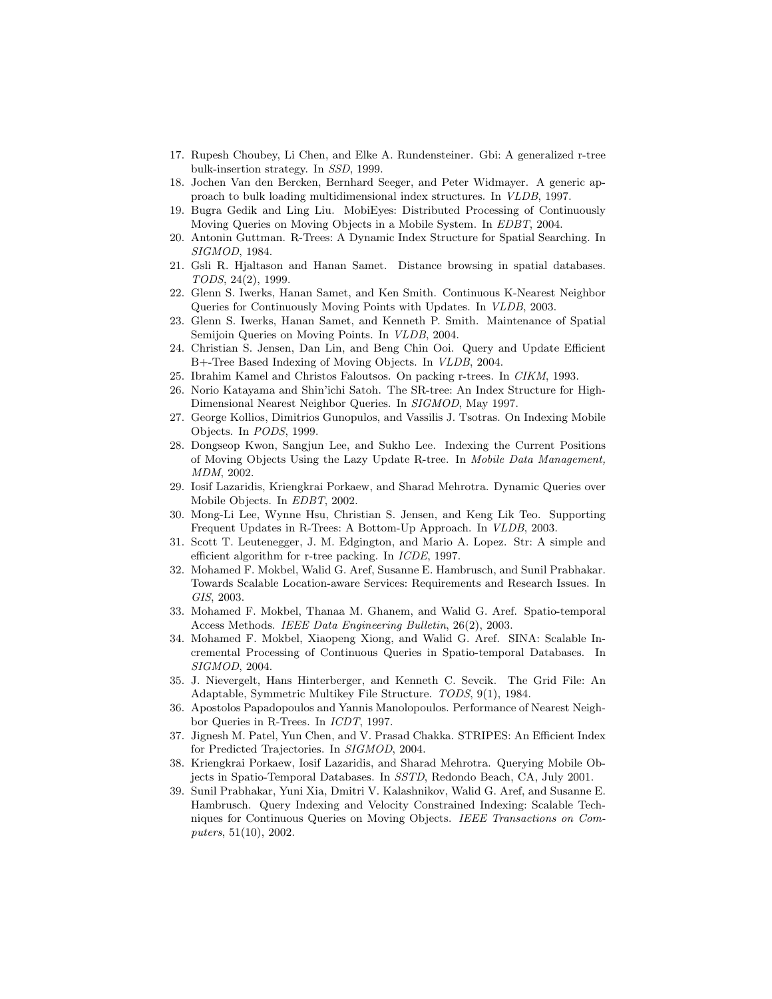- 17. Rupesh Choubey, Li Chen, and Elke A. Rundensteiner. Gbi: A generalized r-tree bulk-insertion strategy. In SSD, 1999.
- 18. Jochen Van den Bercken, Bernhard Seeger, and Peter Widmayer. A generic approach to bulk loading multidimensional index structures. In VLDB, 1997.
- 19. Bugra Gedik and Ling Liu. MobiEyes: Distributed Processing of Continuously Moving Queries on Moving Objects in a Mobile System. In EDBT, 2004.
- 20. Antonin Guttman. R-Trees: A Dynamic Index Structure for Spatial Searching. In SIGMOD, 1984.
- 21. Gsli R. Hjaltason and Hanan Samet. Distance browsing in spatial databases. TODS, 24(2), 1999.
- 22. Glenn S. Iwerks, Hanan Samet, and Ken Smith. Continuous K-Nearest Neighbor Queries for Continuously Moving Points with Updates. In VLDB, 2003.
- 23. Glenn S. Iwerks, Hanan Samet, and Kenneth P. Smith. Maintenance of Spatial Semijoin Queries on Moving Points. In VLDB, 2004.
- 24. Christian S. Jensen, Dan Lin, and Beng Chin Ooi. Query and Update Efficient B+-Tree Based Indexing of Moving Objects. In VLDB, 2004.
- 25. Ibrahim Kamel and Christos Faloutsos. On packing r-trees. In CIKM, 1993.
- 26. Norio Katayama and Shin'ichi Satoh. The SR-tree: An Index Structure for High-Dimensional Nearest Neighbor Queries. In SIGMOD, May 1997.
- 27. George Kollios, Dimitrios Gunopulos, and Vassilis J. Tsotras. On Indexing Mobile Objects. In PODS, 1999.
- 28. Dongseop Kwon, Sangjun Lee, and Sukho Lee. Indexing the Current Positions of Moving Objects Using the Lazy Update R-tree. In Mobile Data Management, MDM, 2002.
- 29. Iosif Lazaridis, Kriengkrai Porkaew, and Sharad Mehrotra. Dynamic Queries over Mobile Objects. In EDBT, 2002.
- 30. Mong-Li Lee, Wynne Hsu, Christian S. Jensen, and Keng Lik Teo. Supporting Frequent Updates in R-Trees: A Bottom-Up Approach. In VLDB, 2003.
- 31. Scott T. Leutenegger, J. M. Edgington, and Mario A. Lopez. Str: A simple and efficient algorithm for r-tree packing. In ICDE, 1997.
- 32. Mohamed F. Mokbel, Walid G. Aref, Susanne E. Hambrusch, and Sunil Prabhakar. Towards Scalable Location-aware Services: Requirements and Research Issues. In GIS, 2003.
- 33. Mohamed F. Mokbel, Thanaa M. Ghanem, and Walid G. Aref. Spatio-temporal Access Methods. IEEE Data Engineering Bulletin, 26(2), 2003.
- 34. Mohamed F. Mokbel, Xiaopeng Xiong, and Walid G. Aref. SINA: Scalable Incremental Processing of Continuous Queries in Spatio-temporal Databases. In SIGMOD, 2004.
- 35. J. Nievergelt, Hans Hinterberger, and Kenneth C. Sevcik. The Grid File: An Adaptable, Symmetric Multikey File Structure. TODS, 9(1), 1984.
- 36. Apostolos Papadopoulos and Yannis Manolopoulos. Performance of Nearest Neighbor Queries in R-Trees. In ICDT, 1997.
- 37. Jignesh M. Patel, Yun Chen, and V. Prasad Chakka. STRIPES: An Efficient Index for Predicted Trajectories. In SIGMOD, 2004.
- 38. Kriengkrai Porkaew, Iosif Lazaridis, and Sharad Mehrotra. Querying Mobile Objects in Spatio-Temporal Databases. In SSTD, Redondo Beach, CA, July 2001.
- 39. Sunil Prabhakar, Yuni Xia, Dmitri V. Kalashnikov, Walid G. Aref, and Susanne E. Hambrusch. Query Indexing and Velocity Constrained Indexing: Scalable Techniques for Continuous Queries on Moving Objects. IEEE Transactions on Computers, 51(10), 2002.